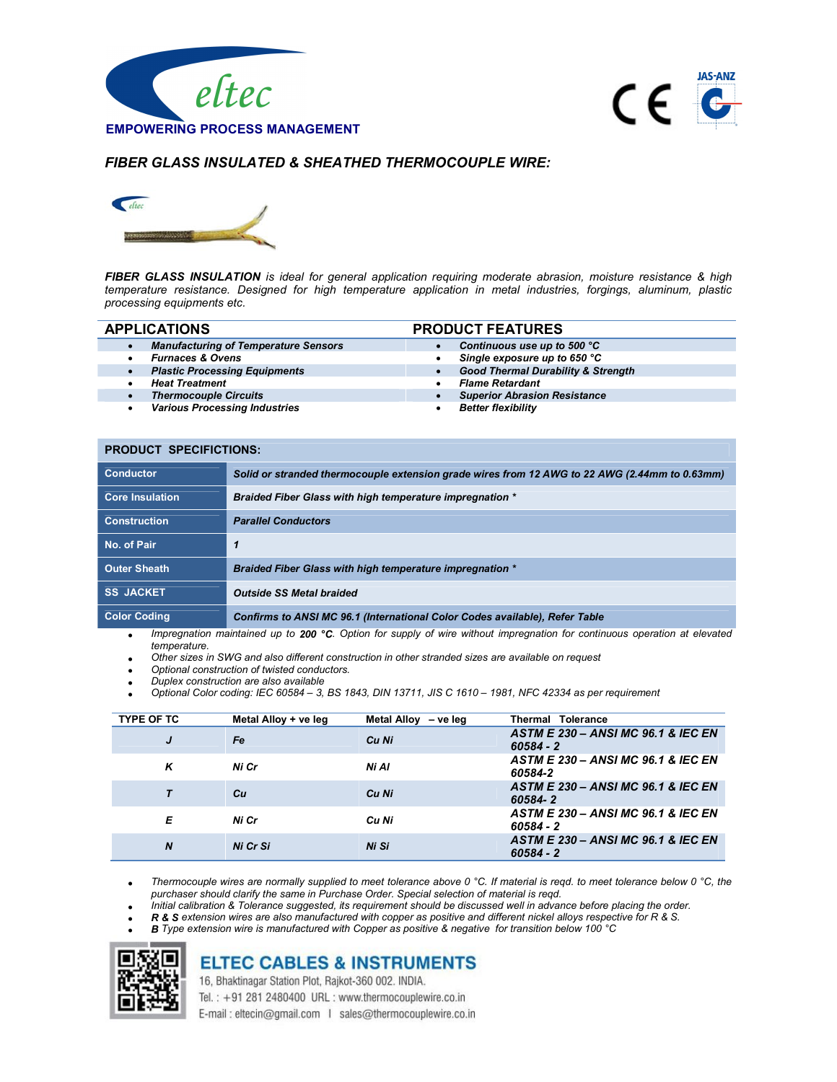



## FIBER GLASS INSULATED & SHEATHED THERMOCOUPLE WIRE:



FIBER GLASS INSULATION is ideal for general application requiring moderate abrasion, moisture resistance & high temperature resistance. Designed for high temperature application in metal industries, forgings, aluminum, plastic processing equipments etc.

|           | <b>APPLICATIONS</b>                         | <b>PRODUCT FEATURES</b>                       |  |  |  |
|-----------|---------------------------------------------|-----------------------------------------------|--|--|--|
|           | <b>Manufacturing of Temperature Sensors</b> | Continuous use up to 500 °C                   |  |  |  |
|           | <b>Furnaces &amp; Ovens</b>                 | Single exposure up to 650 °C                  |  |  |  |
| $\bullet$ | <b>Plastic Processing Equipments</b>        | <b>Good Thermal Durability &amp; Strength</b> |  |  |  |
|           | <b>Heat Treatment</b>                       | <b>Flame Retardant</b>                        |  |  |  |
|           | <b>Thermocouple Circuits</b>                | <b>Superior Abrasion Resistance</b>           |  |  |  |
|           | <b>Various Processing Industries</b>        | <b>Better flexibility</b>                     |  |  |  |
|           |                                             |                                               |  |  |  |
|           |                                             |                                               |  |  |  |

| <b>PRODUCT SPECIFICTIONS:</b> |                                                                                               |  |  |
|-------------------------------|-----------------------------------------------------------------------------------------------|--|--|
| <b>Conductor</b>              | Solid or stranded thermocouple extension grade wires from 12 AWG to 22 AWG (2.44mm to 0.63mm) |  |  |
| <b>Core Insulation</b>        | <b>Braided Fiber Glass with high temperature impregnation *</b>                               |  |  |
| <b>Construction</b>           | <b>Parallel Conductors</b>                                                                    |  |  |
| No. of Pair                   | 1                                                                                             |  |  |
| <b>Outer Sheath</b>           | <b>Braided Fiber Glass with high temperature impregnation *</b>                               |  |  |
| <b>SS JACKET</b>              | <b>Outside SS Metal braided</b>                                                               |  |  |
| <b>Color Coding</b>           | Confirms to ANSI MC 96.1 (International Color Codes available), Refer Table                   |  |  |

• Impregnation maintained up to 200 °C. Option for supply of wire without impregnation for continuous operation at elevated temperature.

Other sizes in SWG and also different construction in other stranded sizes are available on request

- Optional construction of twisted conductors.
- Duplex construction are also available
- Optional Color coding: IEC 60584 3, BS 1843, DIN 13711, JIS C 1610 1981, NFC 42334 as per requirement

| <b>TYPE OF TC</b> | Metal Alloy + ve leg | Metal Alloy - ve leg | <b>Thermal Tolerance</b>                                 |
|-------------------|----------------------|----------------------|----------------------------------------------------------|
| J                 | <b>Fe</b>            | Cu Ni                | ASTM E 230 - ANSI MC 96.1 & IEC EN<br>$60584 - 2$        |
| ĸ                 | Ni Cr                | Ni Al                | <b>ASTM E 230 - ANSI MC 96.1 &amp; IEC EN</b><br>60584-2 |
|                   | Сu                   | Cu Ni                | ASTM E 230 - ANSI MC 96.1 & IEC EN<br>60584-2            |
| Е                 | Ni Cr                | Cu Ni                | ASTM E 230 - ANSI MC 96.1 & IEC EN<br>60584 - 2          |
| N                 | Ni Cr Si             | Ni Si                | ASTM E 230 - ANSI MC 96.1 & IEC EN<br>$60584 - 2$        |

Thermocouple wires are normally supplied to meet tolerance above 0 °C. If material is reqd. to meet tolerance below 0 °C, the purchaser should clarify the same in Purchase Order. Special selection of material is reqd.

Initial calibration & Tolerance suggested, its requirement should be discussed well in advance before placing the order.

- R & S extension wires are also manufactured with copper as positive and different nickel alloys respective for R & S.
- B Type extension wire is manufactured with Copper as positive & negative for transition below 100 °C



## **ELTEC CABLES & INSTRUMENTS**

16, Bhaktinagar Station Plot, Rajkot-360 002. INDIA.

Tel.: +91 281 2480400 URL: www.thermocouplewire.co.in E-mail: eltecin@gmail.com | sales@thermocouplewire.co.in